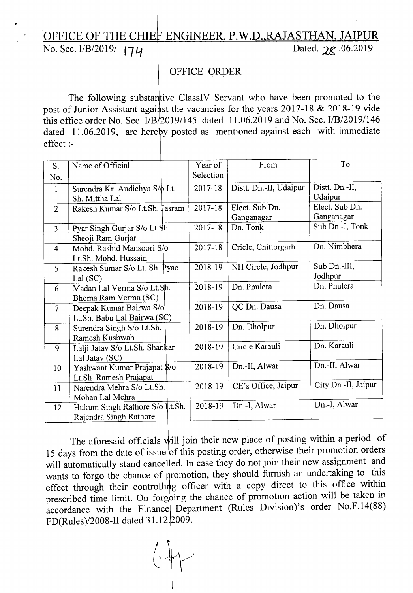## OFFICE OF THE CHIEF ENGINEER, P.W.D.,RAJASTHAN, JAIPUR<br>No. Sec. I/B/2019/  $\vert \mathcal{U} \vert$  Dated. 2g. 06.2019 No. Sec. I/B/2019/ 174

## OFFICE ORDER

The following substantive ClassIV Servant who have been promoted to the post of Junior Assistant against the vacancies for the years  $2017-18 \& 2018-19$  vide this office order No. Sec. *I*/B<sub>1</sub>/2019/145 dated 11.06.2019 and No. Sec. *I*/B<sub>1</sub>/2019/146 dated 11.06.2019, are hereby posted as mentioned against each with immediate effect :-

| S.             | Name of Official                                         | Year of   | From                         | To                           |
|----------------|----------------------------------------------------------|-----------|------------------------------|------------------------------|
| No.            |                                                          | Selection |                              |                              |
| $\mathbf{1}$   | Surendra Kr. Audichya S/ $\phi$ Lt.<br>Sh. Mittha Lal    | 2017-18   | Distt. Dn.-II, Udaipur       | Distt. Dn.-II,<br>Udaipur    |
| $\overline{2}$ | Rakesh Kumar S/o Lt.Sh. Jasram                           | 2017-18   | Elect. Sub Dn.<br>Ganganagar | Elect. Sub Dn.<br>Ganganagar |
| $\overline{3}$ | Pyar Singh Gurjar S/o Lt.Sh.<br>Sheoji Ram Gurjar        | 2017-18   | Dn. Tonk                     | Sub Dn.-I, Tonk              |
| $\overline{4}$ | Mohd. Rashid Mansoori S/o<br>Lt.Sh. Mohd. Hussain        | 2017-18   | Cricle, Chittorgarh          | Dn. Nimbhera                 |
| 5              | Rakesh Sumar S/o Lt. Sh. Pyae<br>Lal $(SC)$              | 2018-19   | NH Circle, Jodhpur           | Sub Dn.-III,<br>Jodhpur      |
| 6              | Madan Lal Verma S/o Lt.Sh.<br>Bhoma Ram Verma (SC)       | 2018-19   | Dn. Phulera                  | Dn. Phulera                  |
| $\overline{7}$ | Deepak Kumar Bairwa S/o<br>Lt.Sh. Babu Lal Bairwa (SC)   | 2018-19   | QC Dn. Dausa                 | Dn. Dausa                    |
| 8              | Surendra Singh S/o Lt.Sh.<br>Ramesh Kushwah              | 2018-19   | Dn. Dholpur                  | Dn. Dholpur                  |
| 9              | Lalji Jatav S/o Lt.Sh. Shankar<br>Lal Jatav (SC)         | 2018-19   | Circle Karauli               | Dn. Karauli                  |
| 10             | Yashwant Kumar Prajapat \$/0<br>Lt.Sh. Ramesh Prajapat   | 2018-19   | Dn.-II, Alwar                | Dn.-II, Alwar                |
| 11             | Narendra Mehra S/o Lt.Sh.<br>Mohan Lal Mehra             | 2018-19   | CE's Office, Jaipur          | City Dn.-II, Jaipur          |
| 12             | Hukum Singh Rathore S/o Lt.Sh.<br>Rajendra Singh Rathore | 2018-19   | Dn.-I, Alwar                 | Dn.-I, Alwar                 |

The aforesaid officials will join their new place of posting within a period of 15 days from the date of issue of this posting order, otherwise their promotion orders will automatically stand cancelled. In case they do not join their new assignment and wants to forgo the chance of promotion, they should furnish an undertaking to this effect through their controlling officer with a copy direct to this office within prescribed time limit. On forgoing the chance of promotion action will be taken in accordance with the Finance Department (Rules Division)'s order No.F.14(88) *FD(Rules)/2008-II* dated 31.12.2009.